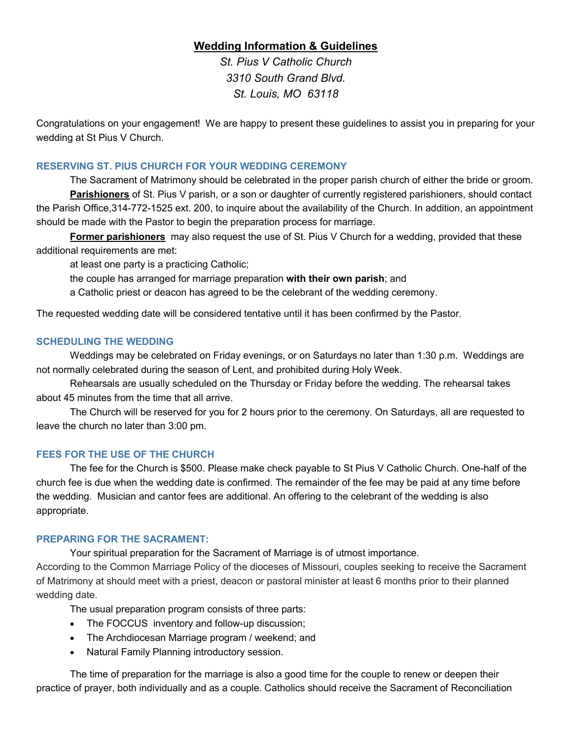# **Wedding Information & Guidelines**

*St. Pius V Catholic Church 3310 South Grand Blvd. St. Louis, MO 63118*

Congratulations on your engagement! We are happy to present these guidelines to assist you in preparing for your wedding at St Pius V Church.

### **RESERVING ST. PIUS CHURCH FOR YOUR WEDDING CEREMONY**

The Sacrament of Matrimony should be celebrated in the proper parish church of either the bride or groom. **Parishioners** of St. Pius V parish, or a son or daughter of currently registered parishioners, should contact the Parish Office,314-772-1525 ext. 200, to inquire about the availability of the Church. In addition, an appointment should be made with the Pastor to begin the preparation process for marriage.

**Former parishioners** may also request the use of St. Pius V Church for a wedding, provided that these additional requirements are met:

at least one party is a practicing Catholic;

the couple has arranged for marriage preparation **with their own parish**; and

a Catholic priest or deacon has agreed to be the celebrant of the wedding ceremony.

The requested wedding date will be considered tentative until it has been confirmed by the Pastor.

### **SCHEDULING THE WEDDING**

Weddings may be celebrated on Friday evenings, or on Saturdays no later than 1:30 p.m. Weddings are not normally celebrated during the season of Lent, and prohibited during Holy Week.

Rehearsals are usually scheduled on the Thursday or Friday before the wedding. The rehearsal takes about 45 minutes from the time that all arrive.

The Church will be reserved for you for 2 hours prior to the ceremony. On Saturdays, all are requested to leave the church no later than 3:00 pm.

### **FEES FOR THE USE OF THE CHURCH**

The fee for the Church is \$500. Please make check payable to St Pius V Catholic Church. One-half of the church fee is due when the wedding date is confirmed. The remainder of the fee may be paid at any time before the wedding. Musician and cantor fees are additional. An offering to the celebrant of the wedding is also appropriate.

### **PREPARING FOR THE SACRAMENT:**

Your spiritual preparation for the Sacrament of Marriage is of utmost importance.

According to the Common Marriage Policy of the dioceses of Missouri, couples seeking to receive the Sacrament of Matrimony at should meet with a priest, deacon or pastoral minister at least 6 months prior to their planned wedding date.

The usual preparation program consists of three parts:

- The FOCCUS inventory and follow-up discussion;
- The Archdiocesan Marriage program / weekend; and
- Natural Family Planning introductory session.

The time of preparation for the marriage is also a good time for the couple to renew or deepen their practice of prayer, both individually and as a couple. Catholics should receive the Sacrament of Reconciliation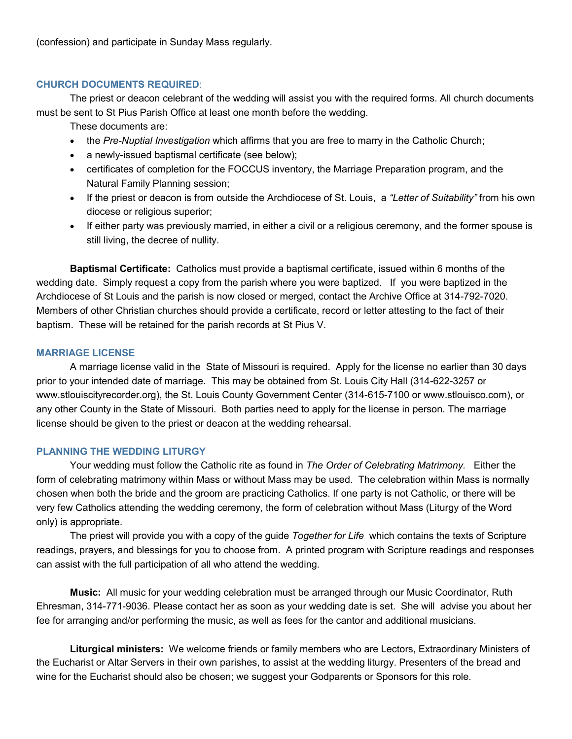(confession) and participate in Sunday Mass regularly.

### **CHURCH DOCUMENTS REQUIRED**:

The priest or deacon celebrant of the wedding will assist you with the required forms. All church documents must be sent to St Pius Parish Office at least one month before the wedding.

These documents are:

- the *Pre-Nuptial Investigation* which affirms that you are free to marry in the Catholic Church;
- a newly-issued baptismal certificate (see below);
- certificates of completion for the FOCCUS inventory, the Marriage Preparation program, and the Natural Family Planning session;
- If the priest or deacon is from outside the Archdiocese of St. Louis, a *"Letter of Suitability"* from his own diocese or religious superior;
- If either party was previously married, in either a civil or a religious ceremony, and the former spouse is still living, the decree of nullity.

**Baptismal Certificate:** Catholics must provide a baptismal certificate, issued within 6 months of the wedding date. Simply request a copy from the parish where you were baptized. If you were baptized in the Archdiocese of St Louis and the parish is now closed or merged, contact the Archive Office at 314-792-7020. Members of other Christian churches should provide a certificate, record or letter attesting to the fact of their baptism. These will be retained for the parish records at St Pius V.

### **MARRIAGE LICENSE**

A marriage license valid in the State of Missouri is required. Apply for the license no earlier than 30 days prior to your intended date of marriage. This may be obtained from St. Louis City Hall (314-622-3257 or www.stlouiscityrecorder.org), the St. Louis County Government Center (314-615-7100 or www.stlouisco.com), or any other County in the State of Missouri. Both parties need to apply for the license in person. The marriage license should be given to the priest or deacon at the wedding rehearsal.

## **PLANNING THE WEDDING LITURGY**

Your wedding must follow the Catholic rite as found in *The Order of Celebrating Matrimony.* Either the form of celebrating matrimony within Mass or without Mass may be used. The celebration within Mass is normally chosen when both the bride and the groom are practicing Catholics. If one party is not Catholic, or there will be very few Catholics attending the wedding ceremony, the form of celebration without Mass (Liturgy of the Word only) is appropriate.

The priest will provide you with a copy of the guide *Together for Life* which contains the texts of Scripture readings, prayers, and blessings for you to choose from. A printed program with Scripture readings and responses can assist with the full participation of all who attend the wedding.

**Music:** All music for your wedding celebration must be arranged through our Music Coordinator, Ruth Ehresman, 314-771-9036. Please contact her as soon as your wedding date is set. She will advise you about her fee for arranging and/or performing the music, as well as fees for the cantor and additional musicians.

**Liturgical ministers:** We welcome friends or family members who are Lectors, Extraordinary Ministers of the Eucharist or Altar Servers in their own parishes, to assist at the wedding liturgy. Presenters of the bread and wine for the Eucharist should also be chosen; we suggest your Godparents or Sponsors for this role.